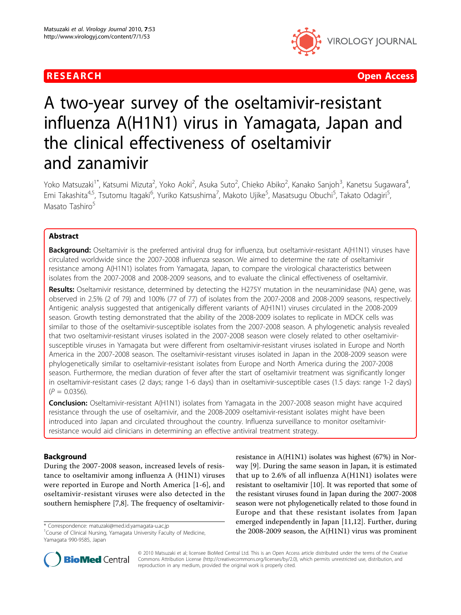# R E S EARCH Open Access



# A two-year survey of the oseltamivir-resistant influenza A(H1N1) virus in Yamagata, Japan and the clinical effectiveness of oseltamivir and zanamivir

Yoko Matsuzaki<sup>1\*</sup>, Katsumi Mizuta<sup>2</sup>, Yoko Aoki<sup>2</sup>, Asuka Suto<sup>2</sup>, Chieko Abiko<sup>2</sup>, Kanako Sanjoh<sup>3</sup>, Kanetsu Sugawara<sup>4</sup> , Emi Takashita<sup>4,5</sup>, Tsutomu Itagaki<sup>6</sup>, Yuriko Katsushima<sup>7</sup>, Makoto Ujike<sup>5</sup>, Masatsugu Obuchi<sup>5</sup>, Takato Odagiri<sup>5</sup> , Masato Tashiro<sup>5</sup>

# Abstract

Background: Oseltamivir is the preferred antiviral drug for influenza, but oseltamivir-resistant A(H1N1) viruses have circulated worldwide since the 2007-2008 influenza season. We aimed to determine the rate of oseltamivir resistance among A(H1N1) isolates from Yamagata, Japan, to compare the virological characteristics between isolates from the 2007-2008 and 2008-2009 seasons, and to evaluate the clinical effectiveness of oseltamivir.

Results: Oseltamivir resistance, determined by detecting the H275Y mutation in the neuraminidase (NA) gene, was observed in 2.5% (2 of 79) and 100% (77 of 77) of isolates from the 2007-2008 and 2008-2009 seasons, respectively. Antigenic analysis suggested that antigenically different variants of A(H1N1) viruses circulated in the 2008-2009 season. Growth testing demonstrated that the ability of the 2008-2009 isolates to replicate in MDCK cells was similar to those of the oseltamivir-susceptible isolates from the 2007-2008 season. A phylogenetic analysis revealed that two oseltamivir-resistant viruses isolated in the 2007-2008 season were closely related to other oseltamivirsusceptible viruses in Yamagata but were different from oseltamivir-resistant viruses isolated in Europe and North America in the 2007-2008 season. The oseltamivir-resistant viruses isolated in Japan in the 2008-2009 season were phylogenetically similar to oseltamivir-resistant isolates from Europe and North America during the 2007-2008 season. Furthermore, the median duration of fever after the start of oseltamivir treatment was significantly longer in oseltamivir-resistant cases (2 days; range 1-6 days) than in oseltamivir-susceptible cases (1.5 days: range 1-2 days)  $(P = 0.0356)$ .

**Conclusion:** Oseltamivir-resistant A(H1N1) isolates from Yamagata in the 2007-2008 season might have acquired resistance through the use of oseltamivir, and the 2008-2009 oseltamivir-resistant isolates might have been introduced into Japan and circulated throughout the country. Influenza surveillance to monitor oseltamivirresistance would aid clinicians in determining an effective antiviral treatment strategy.

# Background

During the 2007-2008 season, increased levels of resistance to oseltamivir among influenza A (H1N1) viruses were reported in Europe and North America [[1-6\]](#page-7-0), and oseltamivir-resistant viruses were also detected in the southern hemisphere [[7,8\]](#page-7-0). The frequency of oseltamivir-

resistance in A(H1N1) isolates was highest (67%) in Norway [[9\]](#page-7-0). During the same season in Japan, it is estimated that up to 2.6% of all influenza A(H1N1) isolates were resistant to oseltamivir [\[10\]](#page-7-0). It was reported that some of the resistant viruses found in Japan during the 2007-2008 season were not phylogenetically related to those found in Europe and that these resistant isolates from Japan emerged independently in Japan [[11,12\]](#page-7-0). Further, during \* Correspondence: [matuzaki@med.id.yamagata-u.ac.jp](mailto:matuzaki@med.id.yamagata-u.ac.jp)<br>
<sup>1</sup>Course of Clinical Nursing, Yamagata University Faculty of Medicine. **the 2008-2009 season, the A(H1N1) virus was prominent** 



© 2010 Matsuzaki et al; licensee BioMed Central Ltd. This is an Open Access article distributed under the terms of the Creative Commons Attribution License [\(http://creativecommons.org/licenses/by/2.0](http://creativecommons.org/licenses/by/2.0)), which permits unrestricted use, distribution, and reproduction in any medium, provided the original work is properly cited.

<sup>&</sup>lt;sup>1</sup>Course of Clinical Nursing, Yamagata University Faculty of Medicine, Yamagata 990-9585, Japan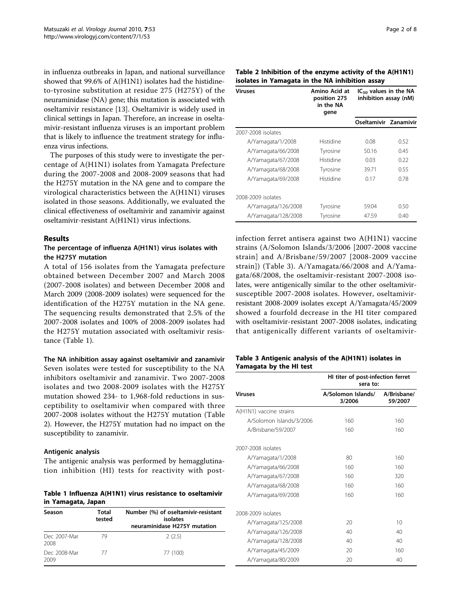in influenza outbreaks in Japan, and national surveillance showed that 99.6% of A(H1N1) isolates had the histidineto-tyrosine substitution at residue 275 (H275Y) of the neuraminidase (NA) gene; this mutation is associated with oseltamivir resistance [\[13](#page-7-0)]. Oseltamivir is widely used in clinical settings in Japan. Therefore, an increase in oseltamivir-resistant influenza viruses is an important problem that is likely to influence the treatment strategy for influenza virus infections.

The purposes of this study were to investigate the percentage of A(H1N1) isolates from Yamagata Prefecture during the 2007-2008 and 2008-2009 seasons that had the H275Y mutation in the NA gene and to compare the virological characteristics between the A(H1N1) viruses isolated in those seasons. Additionally, we evaluated the clinical effectiveness of oseltamivir and zanamivir against oseltamivir-resistant A(H1N1) virus infections.

#### Results

# The percentage of influenza A(H1N1) virus isolates with the H275Y mutation

A total of 156 isolates from the Yamagata prefecture obtained between December 2007 and March 2008 (2007-2008 isolates) and between December 2008 and March 2009 (2008-2009 isolates) were sequenced for the identification of the H275Y mutation in the NA gene. The sequencing results demonstrated that 2.5% of the 2007-2008 isolates and 100% of 2008-2009 isolates had the H275Y mutation associated with oseltamivir resistance (Table 1).

# The NA inhibition assay against oseltamivir and zanamivir

Seven isolates were tested for susceptibility to the NA inhibitors oseltamivir and zanamivir. Two 2007-2008 isolates and two 2008-2009 isolates with the H275Y mutation showed 234- to 1,968-fold reductions in susceptibility to oseltamivir when compared with three 2007-2008 isolates without the H275Y mutation (Table 2). However, the H275Y mutation had no impact on the susceptibility to zanamivir.

#### Antigenic analysis

The antigenic analysis was performed by hemagglutination inhibition (HI) tests for reactivity with post-

Table 1 Influenza A(H1N1) virus resistance to oseltamivir in Yamagata, Japan

| Season               | Total<br>tested | Number (%) of oseltamivir-resistant<br>isolates<br>neuraminidase H275Y mutation |
|----------------------|-----------------|---------------------------------------------------------------------------------|
| Dec 2007-Mar<br>2008 | 79              | 2(2.5)                                                                          |
| Dec 2008-Mar<br>2009 | 77              | 77 (100)                                                                        |

| Table 2 Inhibition of the enzyme activity of the A(H1N1) |  |
|----------------------------------------------------------|--|
| isolates in Yamagata in the NA inhibition assay          |  |

| Viruses             | Amino Acid at<br>position 275<br>in the NA<br>gene | $IC_{50}$ values in the NA<br>inhibition assay (nM) |      |  |
|---------------------|----------------------------------------------------|-----------------------------------------------------|------|--|
|                     |                                                    | Oseltamivir Zanamivir                               |      |  |
| 2007-2008 isolates  |                                                    |                                                     |      |  |
| A/Yamagata/1/2008   | Histidine                                          | 0.08                                                | 0.52 |  |
| A/Yamagata/66/2008  | Tyrosine                                           | 50.16                                               | 0.45 |  |
| A/Yamagata/67/2008  | Histidine                                          | 0.03                                                | 0.22 |  |
| A/Yamagata/68/2008  | Tyrosine                                           | 39.71                                               | 0.55 |  |
| A/Yamagata/69/2008  | Histidine                                          | 0.17                                                | 0.78 |  |
| 2008-2009 isolates  |                                                    |                                                     |      |  |
| A/Yamagata/126/2008 | Tyrosine                                           | 59.04                                               | 0.50 |  |
| A/Yamagata/128/2008 | Tyrosine                                           | 47.59                                               | 0.40 |  |

infection ferret antisera against two A(H1N1) vaccine strains (A/Solomon Islands/3/2006 [2007-2008 vaccine strain] and A/Brisbane/59/2007 [2008-2009 vaccine strain]) (Table 3). A/Yamagata/66/2008 and A/Yamagata/68/2008, the oseltamivir-resistant 2007-2008 isolates, were antigenically similar to the other oseltamivirsusceptible 2007-2008 isolates. However, oseltamivirresistant 2008-2009 isolates except A/Yamagata/45/2009 showed a fourfold decrease in the HI titer compared with oseltamivir-resistant 2007-2008 isolates, indicating that antigenically different variants of oseltamivir-

# Table 3 Antigenic analysis of the A(H1N1) isolates in Yamagata by the HI test

|                          | HI titer of post-infection ferret<br>sera to: |                        |  |  |
|--------------------------|-----------------------------------------------|------------------------|--|--|
| <b>Viruses</b>           | A/Solomon Islands/<br>3/2006                  | A/Brisbane/<br>59/2007 |  |  |
| A(H1N1) vaccine strains  |                                               |                        |  |  |
| A/Solomon Islands/3/2006 | 160                                           | 160                    |  |  |
| A/Brisbane/59/2007       | 160                                           | 160                    |  |  |
| 2007-2008 isolates       |                                               |                        |  |  |
| A/Yamagata/1/2008        | 80                                            | 160                    |  |  |
| A/Yamagata/66/2008       | 160                                           | 160                    |  |  |
| A/Yamagata/67/2008       | 160                                           | 320                    |  |  |
| A/Yamagata/68/2008       | 160                                           | 160                    |  |  |
| A/Yamagata/69/2008       | 160                                           | 160                    |  |  |
| 2008-2009 isolates       |                                               |                        |  |  |
| A/Yamagata/125/2008      | 20                                            | 10                     |  |  |
| A/Yamagata/126/2008      | 40                                            | 40                     |  |  |
| A/Yamagata/128/2008      | 40                                            | 40                     |  |  |
| A/Yamagata/45/2009       | 20                                            | 160                    |  |  |
| A/Yamagata/80/2009       | 20                                            | 40                     |  |  |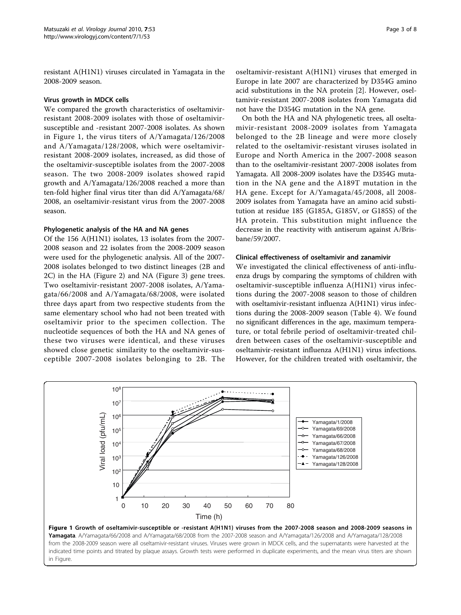resistant A(H1N1) viruses circulated in Yamagata in the 2008-2009 season.

#### Virus growth in MDCK cells

We compared the growth characteristics of oseltamivirresistant 2008-2009 isolates with those of oseltamivirsusceptible and -resistant 2007-2008 isolates. As shown in Figure 1, the virus titers of A/Yamagata/126/2008 and A/Yamagata/128/2008, which were oseltamivirresistant 2008-2009 isolates, increased, as did those of the oseltamivir-susceptible isolates from the 2007-2008 season. The two 2008-2009 isolates showed rapid growth and A/Yamagata/126/2008 reached a more than ten-fold higher final virus titer than did A/Yamagata/68/ 2008, an oseltamivir-resistant virus from the 2007-2008 season.

# Phylogenetic analysis of the HA and NA genes

Of the 156 A(H1N1) isolates, 13 isolates from the 2007- 2008 season and 22 isolates from the 2008-2009 season were used for the phylogenetic analysis. All of the 2007- 2008 isolates belonged to two distinct lineages (2B and 2C) in the HA (Figure [2\)](#page-3-0) and NA (Figure [3](#page-4-0)) gene trees. Two oseltamivir-resistant 2007-2008 isolates, A/Yamagata/66/2008 and A/Yamagata/68/2008, were isolated three days apart from two respective students from the same elementary school who had not been treated with oseltamivir prior to the specimen collection. The nucleotide sequences of both the HA and NA genes of these two viruses were identical, and these viruses showed close genetic similarity to the oseltamivir-susceptible 2007-2008 isolates belonging to 2B. The

oseltamivir-resistant A(H1N1) viruses that emerged in Europe in late 2007 are characterized by D354G amino acid substitutions in the NA protein [[2\]](#page-7-0). However, oseltamivir-resistant 2007-2008 isolates from Yamagata did not have the D354G mutation in the NA gene.

On both the HA and NA phylogenetic trees, all oseltamivir-resistant 2008-2009 isolates from Yamagata belonged to the 2B lineage and were more closely related to the oseltamivir-resistant viruses isolated in Europe and North America in the 2007-2008 season than to the oseltamivir-resistant 2007-2008 isolates from Yamagata. All 2008-2009 isolates have the D354G mutation in the NA gene and the A189T mutation in the HA gene. Except for A/Yamagata/45/2008, all 2008- 2009 isolates from Yamagata have an amino acid substitution at residue 185 (G185A, G185V, or G185S) of the HA protein. This substitution might influence the decrease in the reactivity with antiserum against A/Brisbane/59/2007.

# Clinical effectiveness of oseltamivir and zanamivir

We investigated the clinical effectiveness of anti-influenza drugs by comparing the symptoms of children with oseltamivir-susceptible influenza A(H1N1) virus infections during the 2007-2008 season to those of children with oseltamivir-resistant influenza A(H1N1) virus infections during the 2008-2009 season (Table [4\)](#page-4-0). We found no significant differences in the age, maximum temperature, or total febrile period of oseltamivir-treated children between cases of the oseltamivir-susceptible and oseltamivir-resistant influenza A(H1N1) virus infections. However, for the children treated with oseltamivir, the

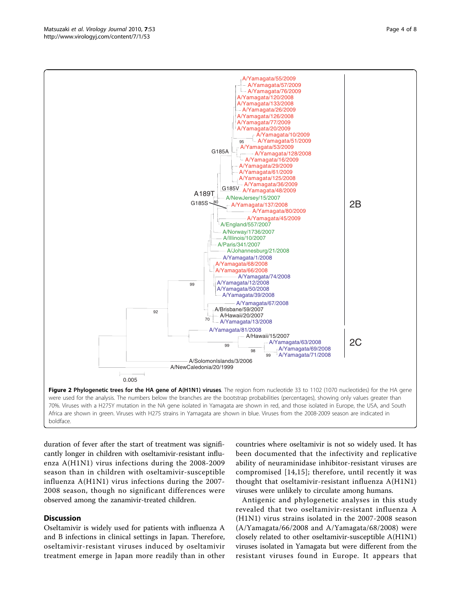duration of fever after the start of treatment was significantly longer in children with oseltamivir-resistant influenza A(H1N1) virus infections during the 2008-2009 season than in children with oseltamivir-susceptible influenza A(H1N1) virus infections during the 2007- 2008 season, though no significant differences were observed among the zanamivir-treated children.

# **Discussion**

Oseltamivir is widely used for patients with influenza A and B infections in clinical settings in Japan. Therefore, oseltamivir-resistant viruses induced by oseltamivir treatment emerge in Japan more readily than in other

countries where oseltamivir is not so widely used. It has been documented that the infectivity and replicative ability of neuraminidase inhibitor-resistant viruses are compromised [[14,15\]](#page-7-0); therefore, until recently it was thought that oseltamivir-resistant influenza A(H1N1) viruses were unlikely to circulate among humans.

Antigenic and phylogenetic analyses in this study revealed that two oseltamivir-resistant influenza A (H1N1) virus strains isolated in the 2007-2008 season (A/Yamagata/66/2008 and A/Yamagata/68/2008) were closely related to other oseltamivir-susceptible A(H1N1) viruses isolated in Yamagata but were different from the resistant viruses found in Europe. It appears that

<span id="page-3-0"></span>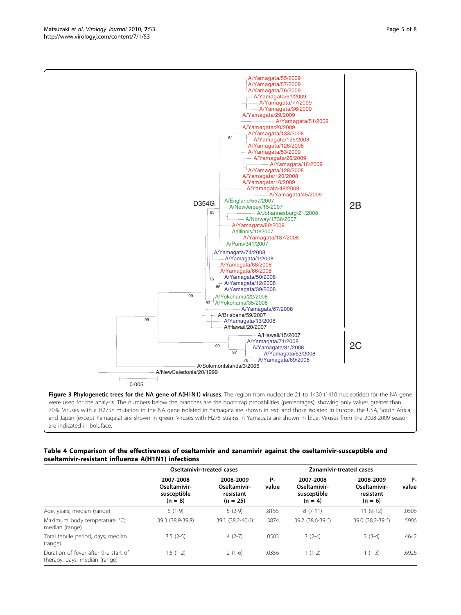and Japan (except Yamagata) are shown in green. Viruses with H275 strains in Yamagata are shown in blue. Viruses from the 2008-2009 season are indicated in boldface.

# Table 4 Comparison of the effectiveness of oseltamivir and zanamivir against the oseltamivir-susceptible and oseltamivir-resistant influenza A(H1N1) infections

|                                                                       | Oseltamivir-treated cases                             |                                                      |             | Zanamivir-treated cases                               |                                                     |                    |
|-----------------------------------------------------------------------|-------------------------------------------------------|------------------------------------------------------|-------------|-------------------------------------------------------|-----------------------------------------------------|--------------------|
|                                                                       | 2007-2008<br>Oseltamivir-<br>susceptible<br>$(n = 8)$ | 2008-2009<br>Oseltamivir-<br>resistant<br>$(n = 25)$ | Р-<br>value | 2007-2008<br>Oseltamivir-<br>susceptible<br>$(n = 4)$ | 2008-2009<br>Oseltamivir-<br>resistant<br>$(n = 6)$ | <b>P-</b><br>value |
| Age, years; median (range)                                            | $6(1-9)$                                              | $5(2-9)$                                             | .8155       | $8(7-11)$                                             | $11(9-12)$                                          | .0506              |
| Maximum body temperature, °C;<br>median (range)                       | 39.3 (38.9-39.8)                                      | 39.1 (38.2-40.6)                                     | .3874       | 39.2 (38.6-39.6)                                      | 39.0 (38.2-39.6)                                    | .5906              |
| Total febrile period, days; median<br>(range)                         | $3.5(2-5)$                                            | $4(2-7)$                                             | .0503       | $3(2-4)$                                              | $3(3-4)$                                            | .4642              |
| Duration of fever after the start of<br>therapy, days; median (range) | $1.5(1-2)$                                            | $2(1-6)$                                             | .0356       | $1(1-2)$                                              | $1(1-3)$                                            | .6926              |

<span id="page-4-0"></span>

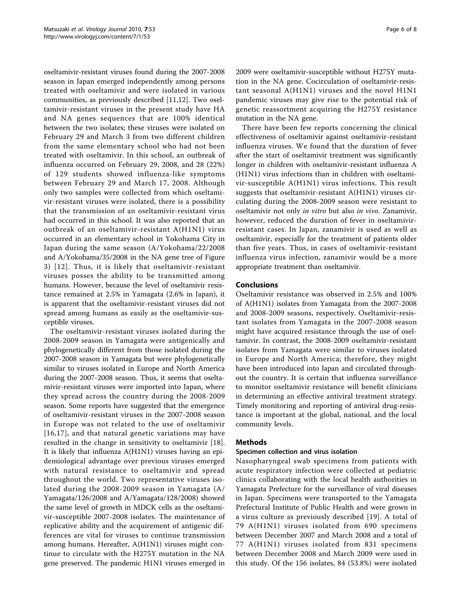oseltamivir-resistant viruses found during the 2007-2008 season in Japan emerged independently among persons treated with oseltamivir and were isolated in various communities, as previously described [\[11,12](#page-7-0)]. Two oseltamivir-resistant viruses in the present study have HA and NA genes sequences that are 100% identical between the two isolates; these viruses were isolated on February 29 and March 3 from two different children from the same elementary school who had not been treated with oseltamivir. In this school, an outbreak of influenza occurred on February 29, 2008, and 28 (22%) of 129 students showed influenza-like symptoms between February 29 and March 17, 2008. Although only two samples were collected from which oseltamivir-resistant viruses were isolated, there is a possibility that the transmission of an oseltamivir-resistant virus had occurred in this school. It was also reported that an outbreak of an oseltamivir-resistant A(H1N1) virus occurred in an elementary school in Yokohama City in Japan during the same season (A/Yokohama/22/2008 and A/Yokohama/35/2008 in the NA gene tree of Figure [3](#page-4-0)) [[12](#page-7-0)]. Thus, it is likely that oseltamivir-resistant viruses posses the ability to be transmitted among humans. However, because the level of oseltamivir resistance remained at 2.5% in Yamagata (2.6% in Japan), it is apparent that the oseltamivir-resistant viruses did not spread among humans as easily as the oseltamivir-susceptible viruses.

The oseltamivir-resistant viruses isolated during the 2008-2009 season in Yamagata were antigenically and phylogenetically different from those isolated during the 2007-2008 season in Yamagata but were phylogenetically similar to viruses isolated in Europe and North America during the 2007-2008 season. Thus, it seems that oseltamivir-resistant viruses were imported into Japan, where they spread across the country during the 2008-2009 season. Some reports have suggested that the emergence of oseltamivir-resistant viruses in the 2007-2008 season in Europe was not related to the use of oseltamivir [[16,17\]](#page-7-0), and that natural genetic variations may have resulted in the change in sensitivity to oseltamivir [\[18](#page-7-0)]. It is likely that influenza A(H1N1) viruses having an epidemiological advantage over previous viruses emerged with natural resistance to oseltamivir and spread throughout the world. Two representative viruses isolated during the 2008-2009 season in Yamagata (A/ Yamagata/126/2008 and A/Yamagata/128/2008) showed the same level of growth in MDCK cells as the oseltamivir-susceptible 2007-2008 isolates. The maintenance of replicative ability and the acquirement of antigenic differences are vital for viruses to continue transmission among humans. Hereafter, A(H1N1) viruses might continue to circulate with the H275Y mutation in the NA gene preserved. The pandemic H1N1 viruses emerged in 2009 were oseltamivir-susceptible without H275Y mutation in the NA gene. Cocirculation of oseltamivir-resistant seasonal A(H1N1) viruses and the novel H1N1 pandemic viruses may give rise to the potential risk of genetic reassortment acquiring the H275Y resistance mutation in the NA gene.

There have been few reports concerning the clinical effectiveness of oseltamivir against oseltamivir-resistant influenza viruses. We found that the duration of fever after the start of oseltamivir treatment was significantly longer in children with oseltamivir-resistant influenza A (H1N1) virus infections than in children with oseltamivir-susceptible A(H1N1) virus infections. This result suggests that oseltamivir-resistant A(H1N1) viruses circulating during the 2008-2009 season were resistant to oseltamivir not only in vitro but also in vivo. Zanamivir, however, reduced the duration of fever in oseltamivirresistant cases. In Japan, zanamivir is used as well as oseltamivir, especially for the treatment of patients older than five years. Thus, in cases of oseltamivir-resistant influenza virus infection, zanamivir would be a more appropriate treatment than oseltamivir.

# Conclusions

Oseltamivir resistance was observed in 2.5% and 100% of A(H1N1) isolates from Yamagata from the 2007-2008 and 2008-2009 seasons, respectively. Oseltamivir-resistant isolates from Yamagata in the 2007-2008 season might have acquired resistance through the use of oseltamivir. In contrast, the 2008-2009 oseltamivir-resistant isolates from Yamagata were similar to viruses isolated in Europe and North America; therefore, they might have been introduced into Japan and circulated throughout the country. It is certain that influenza surveillance to monitor oseltamivir resistance will benefit clinicians in determining an effective antiviral treatment strategy. Timely monitoring and reporting of antiviral drug-resistance is important at the global, national, and the local community levels.

# Methods

#### Specimen collection and virus isolation

Nasopharyngeal swab specimens from patients with acute respiratory infection were collected at pediatric clinics collaborating with the local health authorities in Yamagata Prefecture for the surveillance of viral diseases in Japan. Specimens were transported to the Yamagata Prefectural Institute of Public Health and were grown in a virus culture as previously described [\[19\]](#page-7-0). A total of 79 A(H1N1) viruses isolated from 690 specimens between December 2007 and March 2008 and a total of 77 A(H1N1) viruses isolated from 831 specimens between December 2008 and March 2009 were used in this study. Of the 156 isolates, 84 (53.8%) were isolated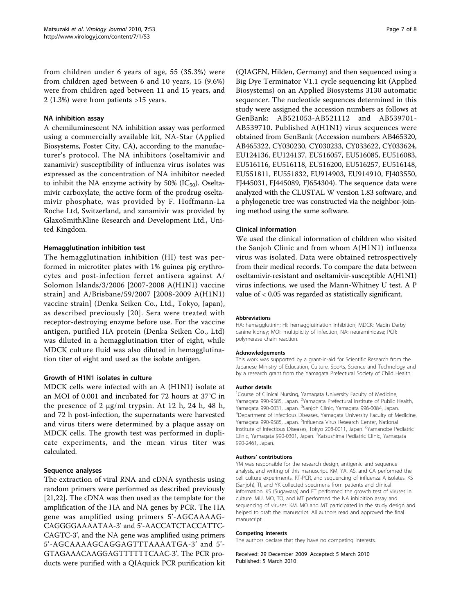from children under 6 years of age, 55 (35.3%) were from children aged between 6 and 10 years, 15 (9.6%) were from children aged between 11 and 15 years, and 2 (1.3%) were from patients >15 years.

#### NA inhibition assay

A chemiluminescent NA inhibition assay was performed using a commercially available kit, NA-Star (Applied Biosystems, Foster City, CA), according to the manufacturer's protocol. The NA inhibitors (oseltamivir and zanamivir) susceptibility of influenza virus isolates was expressed as the concentration of NA inhibitor needed to inhibit the NA enzyme activity by 50%  $(IC_{50})$ . Oseltamivir carboxylate, the active form of the prodrug oseltamivir phosphate, was provided by F. Hoffmann-La Roche Ltd, Switzerland, and zanamivir was provided by GlaxoSmithKline Research and Development Ltd., United Kingdom.

# Hemagglutination inhibition test

The hemagglutination inhibition (HI) test was performed in microtiter plates with 1% guinea pig erythrocytes and post-infection ferret antisera against A/ Solomon Islands/3/2006 [2007-2008 A(H1N1) vaccine strain] and A/Brisbane/59/2007 [2008-2009 A(H1N1) vaccine strain] (Denka Seiken Co., Ltd., Tokyo, Japan), as described previously [[20](#page-7-0)]. Sera were treated with receptor-destroying enzyme before use. For the vaccine antigen, purified HA protein (Denka Seiken Co., Ltd) was diluted in a hemagglutination titer of eight, while MDCK culture fluid was also diluted in hemagglutination titer of eight and used as the isolate antigen.

## Growth of H1N1 isolates in culture

MDCK cells were infected with an A (H1N1) isolate at an MOI of 0.001 and incubated for 72 hours at 37°C in the presence of 2 μg/ml trypsin. At 12 h, 24 h, 48 h, and 72 h post-infection, the supernatants were harvested and virus titers were determined by a plaque assay on MDCK cells. The growth test was performed in duplicate experiments, and the mean virus titer was calculated.

#### Sequence analyses

The extraction of viral RNA and cDNA synthesis using random primers were performed as described previously [[21,22\]](#page-7-0). The cDNA was then used as the template for the amplification of the HA and NA genes by PCR. The HA gene was amplified using primers 5'-AGCAAAAG-CAGGGGAAAATAA-3' and 5'-AACCATCTACCATTC-CAGTC-3', and the NA gene was amplified using primers 5'-AGCAAAAGCAGGAGTTTAAAATGA-3' and 5'- GTAGAAACAAGGAGTTTTTTCAAC-3'. The PCR products were purified with a QIAquick PCR purification kit

(QIAGEN, Hilden, Germany) and then sequenced using a Big Dye Terminator V1.1 cycle sequencing kit (Applied Biosystems) on an Applied Biosystems 3130 automatic sequencer. The nucleotide sequences determined in this study were assigned the accession numbers as follows at GenBank: AB521053-AB521112 and AB539701- AB539710. Published A(H1N1) virus sequences were obtained from GenBank (Accession numbers AB465320, AB465322, CY030230, CY030233, CY033622, CY033624, EU124136, EU124137, EU516057, EU516085, EU516083, EU516116, EU516118, EU516200, EU516257, EU516148, EU551811, EU551832, EU914903, EU914910, FJ403550, FJ445031, FJ445089, FJ654304). The sequence data were analyzed with the CLUSTAL W version 1.83 software, and a phylogenetic tree was constructed via the neighbor-joining method using the same software.

#### Clinical information

We used the clinical information of children who visited the Sanjoh Clinic and from whom A(H1N1) influenza virus was isolated. Data were obtained retrospectively from their medical records. To compare the data between oseltamivir-resistant and oseltamivir-susceptible A(H1N1) virus infections, we used the Mann-Whitney U test. A P value of < 0.05 was regarded as statistically significant.

#### Abbreviations

HA: hemagglutinin; HI: hemagglutination inhibition; MDCK: Madin Darby canine kidney; MOI: multiplicity of infection; NA: neuraminidase; PCR: polymerase chain reaction.

#### Acknowledgements

This work was supported by a grant-in-aid for Scientific Research from the Japanese Ministry of Education, Culture, Sports, Science and Technology and by a research grant from the Yamagata Prefectural Society of Child Health.

#### Author details

<sup>1</sup>Course of Clinical Nursing, Yamagata University Faculty of Medicine,<br>Yamagata 990-9585, Japan. <sup>2</sup>Yamagata Prefectural Institute of Public Health Yamagata 990-0031, Japan. <sup>3</sup>Sanjoh Clinic, Yamagata 996-0084, Japan.<br><sup>4</sup>Department of Infectious Diseases, Yamagata University Faculty of M <sup>4</sup>Department of Infectious Diseases, Yamagata University Faculty of Medicine, Yamagata 990-9585, Japan. <sup>5</sup>Influenza Virus Research Center, National Institute of Infectious Diseases, Tokyo 208-0011, Japan. <sup>6</sup>Yamanobe Pediatric Clinic, Yamagata 990-0301, Japan. <sup>7</sup>Katsushima Pediatric Clinic, Yamagata 990-2461, Japan.

#### Authors' contributions

YM was responsible for the research design, antigenic and sequence analysis, and writing of this manuscript. KM, YA, AS, and CA performed the cell culture experiments, RT-PCR, and sequencing of influenza A isolates. KS (Sanjoh), TI, and YK collected specimens from patients and clinical information. KS (Sugawara) and ET performed the growth test of viruses in culture. MU, MO, TO, and MT performed the NA inhibition assay and sequencing of viruses. KM, MO and MT participated in the study design and helped to draft the manuscript. All authors read and approved the final manuscript.

#### Competing interests

The authors declare that they have no competing interests.

Received: 29 December 2009 Accepted: 5 March 2010 Published: 5 March 2010